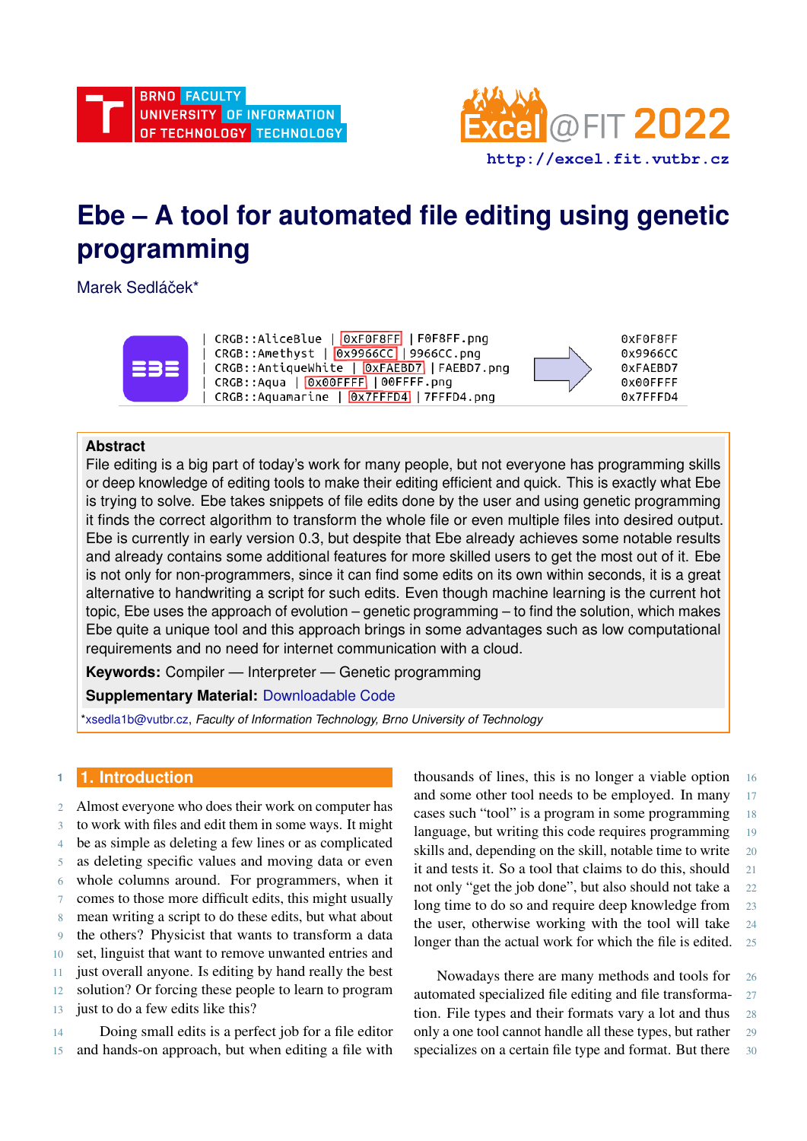

# **Ebe – A tool for automated file editing using genetic programming**

Marek Sedláček\*



# **Abstract**

File editing is a big part of today's work for many people, but not everyone has programming skills or deep knowledge of editing tools to make their editing efficient and quick. This is exactly what Ebe is trying to solve. Ebe takes snippets of file edits done by the user and using genetic programming it finds the correct algorithm to transform the whole file or even multiple files into desired output. Ebe is currently in early version 0.3, but despite that Ebe already achieves some notable results and already contains some additional features for more skilled users to get the most out of it. Ebe is not only for non-programmers, since it can find some edits on its own within seconds, it is a great alternative to handwriting a script for such edits. Even though machine learning is the current hot topic, Ebe uses the approach of evolution – genetic programming – to find the solution, which makes Ebe quite a unique tool and this approach brings in some advantages such as low computational requirements and no need for internet communication with a cloud.

**Keywords:** Compiler — Interpreter — Genetic programming

**Supplementary Material:** [Downloadable Code](https://github.com/mark-sed/ebe)

[\\*xsedla1b@vutbr.cz,](mailto:xsedla1b@vutbr.cz) *Faculty of Information Technology, Brno University of Technology*

# **<sup>1</sup> 1. Introduction**

 Almost everyone who does their work on computer has to work with files and edit them in some ways. It might be as simple as deleting a few lines or as complicated as deleting specific values and moving data or even whole columns around. For programmers, when it comes to those more difficult edits, this might usually mean writing a script to do these edits, but what about the others? Physicist that wants to transform a data set, linguist that want to remove unwanted entries and just overall anyone. Is editing by hand really the best solution? Or forcing these people to learn to program 13 just to do a few edits like this?

14 Doing small edits is a perfect job for a file editor 15 and hands-on approach, but when editing a file with thousands of lines, this is no longer a viable option 16 and some other tool needs to be employed. In many 17 cases such "tool" is a program in some programming 18 language, but writing this code requires programming 19 skills and, depending on the skill, notable time to write 20 it and tests it. So a tool that claims to do this, should 21 not only "get the job done", but also should not take a 22 long time to do so and require deep knowledge from 23 the user, otherwise working with the tool will take 24 longer than the actual work for which the file is edited. 25

Nowadays there are many methods and tools for 26 automated specialized file editing and file transforma- 27 tion. File types and their formats vary a lot and thus 28 only a one tool cannot handle all these types, but rather 29 specializes on a certain file type and format. But there 30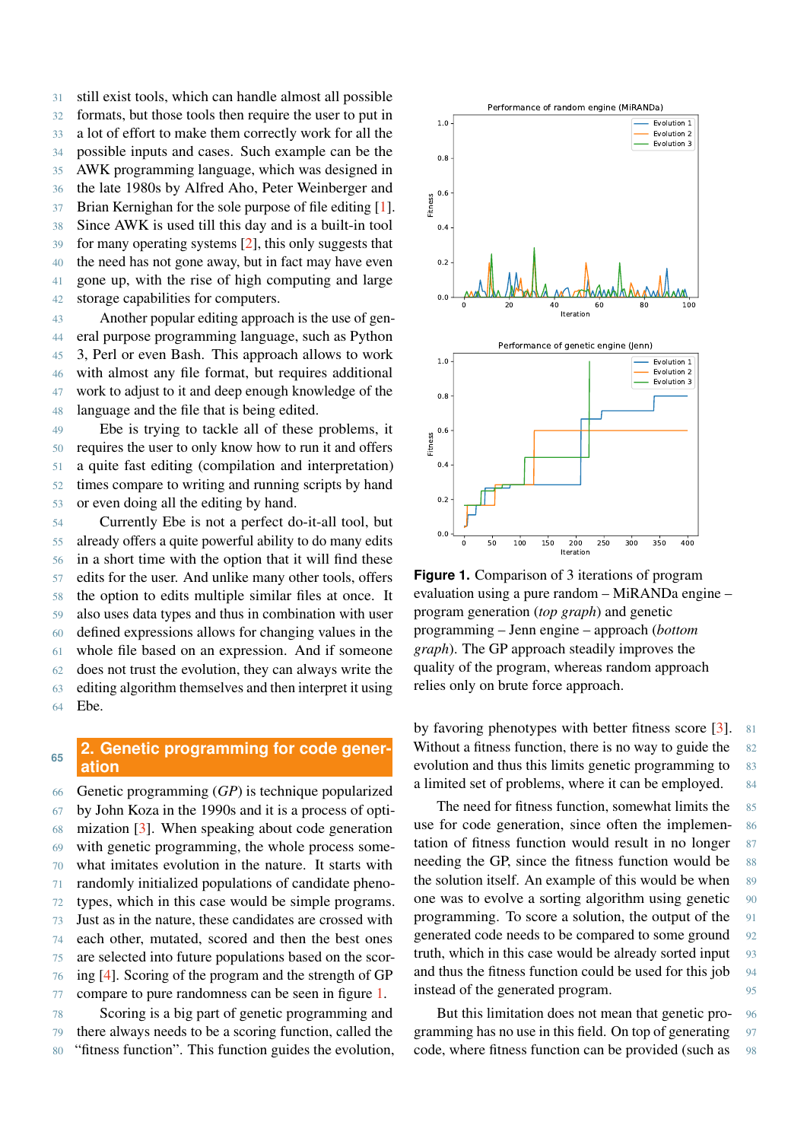still exist tools, which can handle almost all possible formats, but those tools then require the user to put in a lot of effort to make them correctly work for all the possible inputs and cases. Such example can be the AWK programming language, which was designed in the late 1980s by Alfred Aho, Peter Weinberger and Brian Kernighan for the sole purpose of file editing [\[1\]](#page-5-0). Since AWK is used till this day and is a built-in tool for many operating systems [\[2\]](#page-5-1), this only suggests that the need has not gone away, but in fact may have even gone up, with the rise of high computing and large storage capabilities for computers.

 Another popular editing approach is the use of gen- eral purpose programming language, such as Python 3, Perl or even Bash. This approach allows to work with almost any file format, but requires additional work to adjust to it and deep enough knowledge of the language and the file that is being edited.

 Ebe is trying to tackle all of these problems, it requires the user to only know how to run it and offers a quite fast editing (compilation and interpretation) times compare to writing and running scripts by hand or even doing all the editing by hand.

 Currently Ebe is not a perfect do-it-all tool, but already offers a quite powerful ability to do many edits in a short time with the option that it will find these edits for the user. And unlike many other tools, offers the option to edits multiple similar files at once. It also uses data types and thus in combination with user defined expressions allows for changing values in the whole file based on an expression. And if someone does not trust the evolution, they can always write the editing algorithm themselves and then interpret it using 64 Ebe.

# **2. Genetic programming for code generation <sup>65</sup>**

 Genetic programming (*GP*) is technique popularized by John Koza in the 1990s and it is a process of opti- mization [\[3\]](#page-5-2). When speaking about code generation with genetic programming, the whole process some- what imitates evolution in the nature. It starts with randomly initialized populations of candidate pheno- types, which in this case would be simple programs. Just as in the nature, these candidates are crossed with each other, mutated, scored and then the best ones are selected into future populations based on the scor- ing [\[4\]](#page-5-3). Scoring of the program and the strength of GP compare to pure randomness can be seen in figure [1.](#page-1-0) Scoring is a big part of genetic programming and

79 there always needs to be a scoring function, called the 80 "fitness function". This function guides the evolution,

<span id="page-1-0"></span>

**Figure 1.** Comparison of 3 iterations of program evaluation using a pure random – MiRANDa engine – program generation (*top graph*) and genetic programming – Jenn engine – approach (*bottom graph*). The GP approach steadily improves the quality of the program, whereas random approach relies only on brute force approach.

by favoring phenotypes with better fitness score [\[3\]](#page-5-2). 81 Without a fitness function, there is no way to guide the 82 evolution and thus this limits genetic programming to 83 a limited set of problems, where it can be employed. 84

The need for fitness function, somewhat limits the 85 use for code generation, since often the implemen- 86 tation of fitness function would result in no longer 87 needing the GP, since the fitness function would be 88 the solution itself. An example of this would be when 89 one was to evolve a sorting algorithm using genetic 90 programming. To score a solution, the output of the 91 generated code needs to be compared to some ground 92 truth, which in this case would be already sorted input 93 and thus the fitness function could be used for this job 94 instead of the generated program.

But this limitation does not mean that genetic pro- 96 gramming has no use in this field. On top of generating 97 code, where fitness function can be provided (such as 98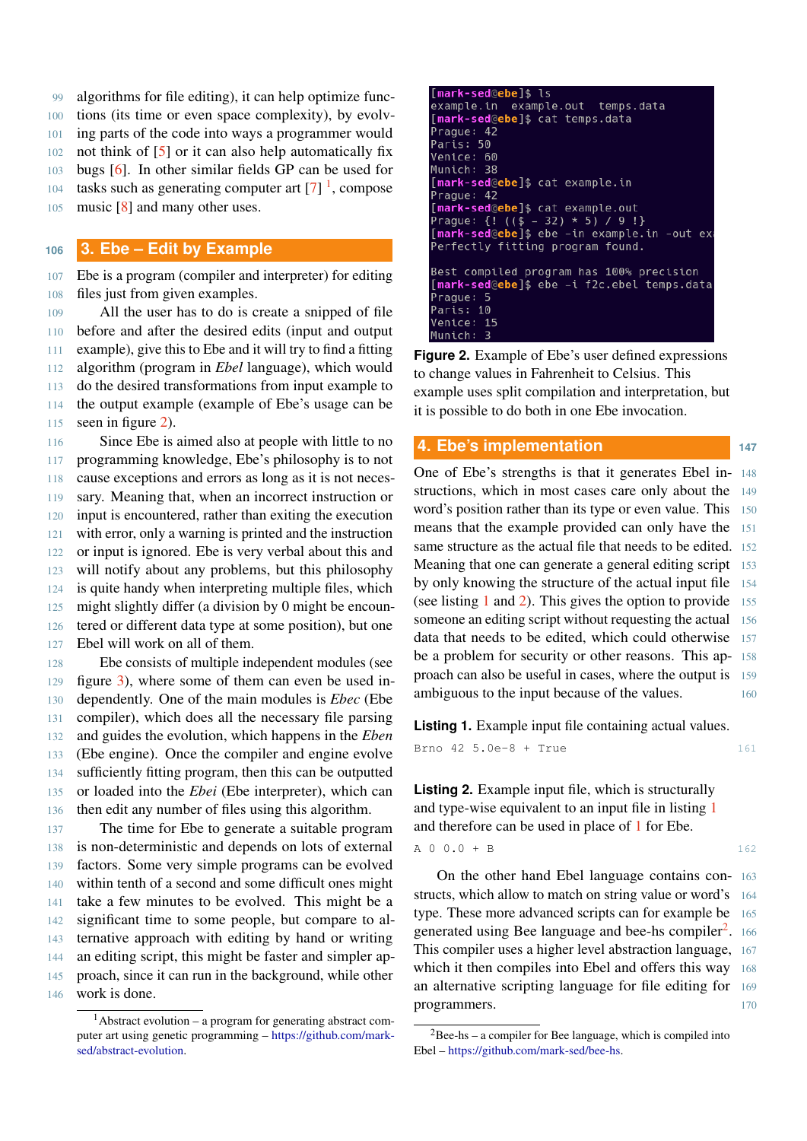algorithms for file editing), it can help optimize func- tions (its time or even space complexity), by evolv- ing parts of the code into ways a programmer would not think of [\[5\]](#page-5-4) or it can also help automatically fix bugs [\[6\]](#page-5-5). In other similar fields GP can be used for 04 tasks such as generating computer art  $[7]$ <sup>1</sup>, compose

105 music [\[8\]](#page-5-7) and many other uses.

# **<sup>106</sup> 3. Ebe – Edit by Example**

107 Ebe is a program (compiler and interpreter) for editing 108 files just from given examples.

 All the user has to do is create a snipped of file before and after the desired edits (input and output example), give this to Ebe and it will try to find a fitting algorithm (program in *Ebel* language), which would do the desired transformations from input example to the output example (example of Ebe's usage can be seen in figure [2\)](#page-2-1).

116 Since Ebe is aimed also at people with little to no programming knowledge, Ebe's philosophy is to not cause exceptions and errors as long as it is not neces- sary. Meaning that, when an incorrect instruction or input is encountered, rather than exiting the execution with error, only a warning is printed and the instruction or input is ignored. Ebe is very verbal about this and will notify about any problems, but this philosophy is quite handy when interpreting multiple files, which might slightly differ (a division by 0 might be encoun- tered or different data type at some position), but one Ebel will work on all of them.

 Ebe consists of multiple independent modules (see figure [3\)](#page-3-0), where some of them can even be used in- dependently. One of the main modules is *Ebec* (Ebe compiler), which does all the necessary file parsing and guides the evolution, which happens in the *Eben* (Ebe engine). Once the compiler and engine evolve sufficiently fitting program, then this can be outputted or loaded into the *Ebei* (Ebe interpreter), which can then edit any number of files using this algorithm.

 The time for Ebe to generate a suitable program is non-deterministic and depends on lots of external factors. Some very simple programs can be evolved within tenth of a second and some difficult ones might take a few minutes to be evolved. This might be a significant time to some people, but compare to al- ternative approach with editing by hand or writing an editing script, this might be faster and simpler ap- proach, since it can run in the background, while other work is done.

```
[<mark>mark-sed</mark>@ebe]$ l
example.in example.out
                               temps.data
[mark-sed@ebe]$ cat temps.data
Prague: 42
Paris: 50
Venice: 60
Munich: 38
[mark-sed@ebe]$ cat example.in
Prague: 42
[mark-sed@ebe]$ cat example.out
Prague: {! (($ - 32) * 5) / 9 !}<br>Prague: {! (($ - 32) * 5) / 9 !}<br>[mark-sed@ebe]$ ebe -in example.in -out ex
Perfectly fitting program found.
Best compiled program has 100% precision
[mark-sed@ebe]$ ebe -i f2c.ebel temps.data
Prague: 5
Paris: 10
Venice: 15
Munich:
          \overline{3}
```
**Figure 2.** Example of Ebe's user defined expressions to change values in Fahrenheit to Celsius. This example uses split compilation and interpretation, but it is possible to do both in one Ebe invocation.

## **4. Ebe's implementation <sup>147</sup>**

One of Ebe's strengths is that it generates Ebel in- 148 structions, which in most cases care only about the 149 word's position rather than its type or even value. This 150 means that the example provided can only have the 151 same structure as the actual file that needs to be edited. 152 Meaning that one can generate a general editing script 153 by only knowing the structure of the actual input file 154 (see listing [1](#page-2-2) and [2\)](#page-2-3). This gives the option to provide  $155$ someone an editing script without requesting the actual 156 data that needs to be edited, which could otherwise 157 be a problem for security or other reasons. This ap- 158 proach can also be useful in cases, where the output is 159 ambiguous to the input because of the values. 160

<span id="page-2-2"></span>**Listing 1.** Example input file containing actual values.

Brno 42 5.0e-8 + True 161

<span id="page-2-3"></span>**Listing 2.** Example input file, which is structurally and type-wise equivalent to an input file in listing [1](#page-2-2) and therefore can be used in place of [1](#page-2-2) for Ebe.

$$
A \t 0 \t 0.0 + B \t 162
$$

On the other hand Ebel language contains con- 163 structs, which allow to match on string value or word's 164 type. These more advanced scripts can for example be 165 generated using Bee language and bee-hs compiler<sup>[2](#page-2-4)</sup>. . 166 This compiler uses a higher level abstraction language, 167 which it then compiles into Ebel and offers this way 168 an alternative scripting language for file editing for 169 programmers. 170

<span id="page-2-0"></span><sup>1</sup>Abstract evolution – a program for generating abstract computer art using genetic programming – [https://github.com/mark](https://github.com/mark-sed/abstract-evolution)[sed/abstract-evolution.](https://github.com/mark-sed/abstract-evolution)

<span id="page-2-4"></span> $2$ Bee-hs – a compiler for Bee language, which is compiled into Ebel – [https://github.com/mark-sed/bee-hs.](https://github.com/mark-sed/bee-hs)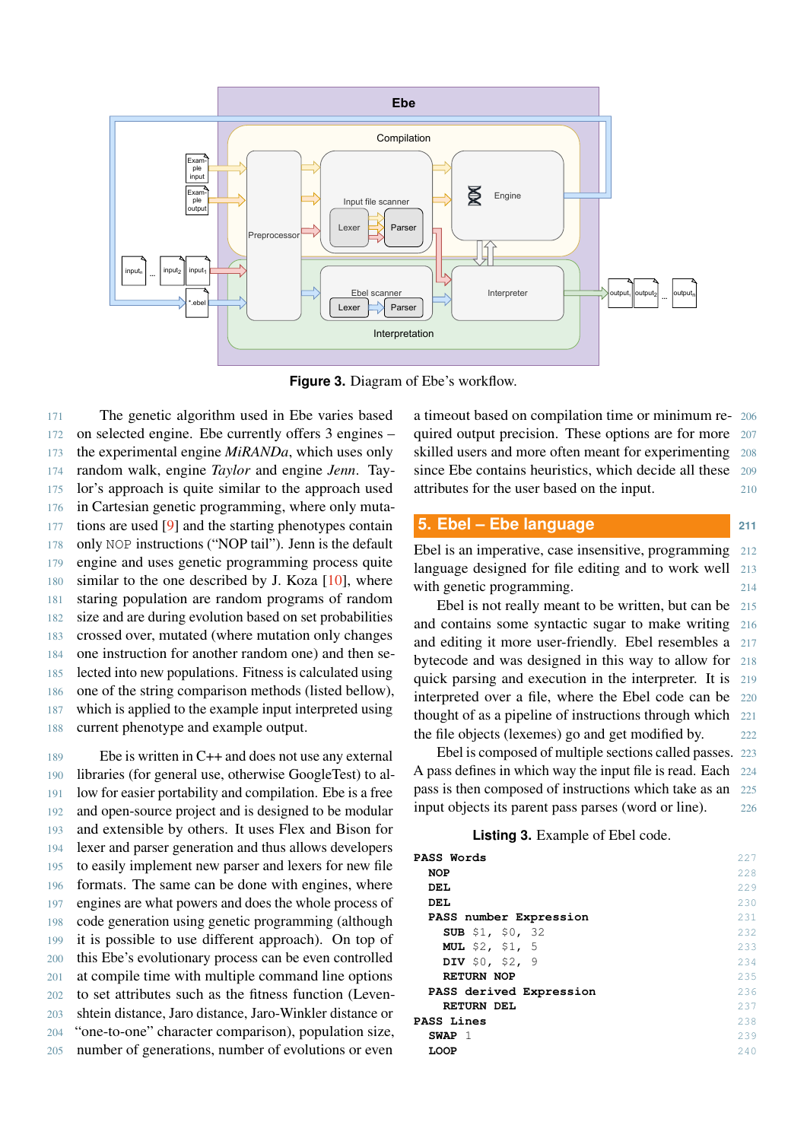<span id="page-3-0"></span>

**Figure 3.** Diagram of Ebe's workflow.

 The genetic algorithm used in Ebe varies based on selected engine. Ebe currently offers 3 engines – the experimental engine *MiRANDa*, which uses only random walk, engine *Taylor* and engine *Jenn*. Tay- lor's approach is quite similar to the approach used in Cartesian genetic programming, where only muta- tions are used [\[9\]](#page-5-8) and the starting phenotypes contain only NOP instructions ("NOP tail"). Jenn is the default engine and uses genetic programming process quite similar to the one described by J. Koza [\[10\]](#page-5-9), where staring population are random programs of random size and are during evolution based on set probabilities crossed over, mutated (where mutation only changes one instruction for another random one) and then se- lected into new populations. Fitness is calculated using one of the string comparison methods (listed bellow), which is applied to the example input interpreted using current phenotype and example output.

 Ebe is written in C++ and does not use any external libraries (for general use, otherwise GoogleTest) to al- low for easier portability and compilation. Ebe is a free and open-source project and is designed to be modular and extensible by others. It uses Flex and Bison for lexer and parser generation and thus allows developers to easily implement new parser and lexers for new file formats. The same can be done with engines, where engines are what powers and does the whole process of code generation using genetic programming (although it is possible to use different approach). On top of this Ebe's evolutionary process can be even controlled at compile time with multiple command line options to set attributes such as the fitness function (Leven- shtein distance, Jaro distance, Jaro-Winkler distance or "one-to-one" character comparison), population size, number of generations, number of evolutions or even

a timeout based on compilation time or minimum re- 206 quired output precision. These options are for more 207 skilled users and more often meant for experimenting 208 since Ebe contains heuristics, which decide all these 209 attributes for the user based on the input. 210

# **5. Ebel – Ebe language <sup>211</sup>**

Ebel is an imperative, case insensitive, programming 212 language designed for file editing and to work well 213 with genetic programming.

Ebel is not really meant to be written, but can be 215 and contains some syntactic sugar to make writing 216 and editing it more user-friendly. Ebel resembles a 217 bytecode and was designed in this way to allow for 218 quick parsing and execution in the interpreter. It is 219 interpreted over a file, where the Ebel code can be 220 thought of as a pipeline of instructions through which 221 the file objects (lexemes) go and get modified by. 222

Ebel is composed of multiple sections called passes. 223 A pass defines in which way the input file is read. Each 224 pass is then composed of instructions which take as an 225 input objects its parent pass parses (word or line). 226

## **Listing 3.** Example of Ebel code.

<span id="page-3-1"></span>

| PASS Words              | 227  |
|-------------------------|------|
| <b>NOP</b>              | 228  |
| DEL                     | 229  |
| DEL                     | 230  |
| PASS number Expression  | 231  |
| <b>SUB</b> \$1, \$0, 32 | 2.32 |
| <b>MUL</b> \$2, \$1, 5  | 233  |
| DIV $$0, $2, 9$         | 234  |
| <b>RETURN NOP</b>       | 235  |
| PASS derived Expression | 236  |
| <b>RETURN DEL</b>       | 237  |
| <b>PASS Lines</b>       | 238  |
| SWAP 1                  | 239  |
| <b>LOOP</b>             | 2.40 |
|                         |      |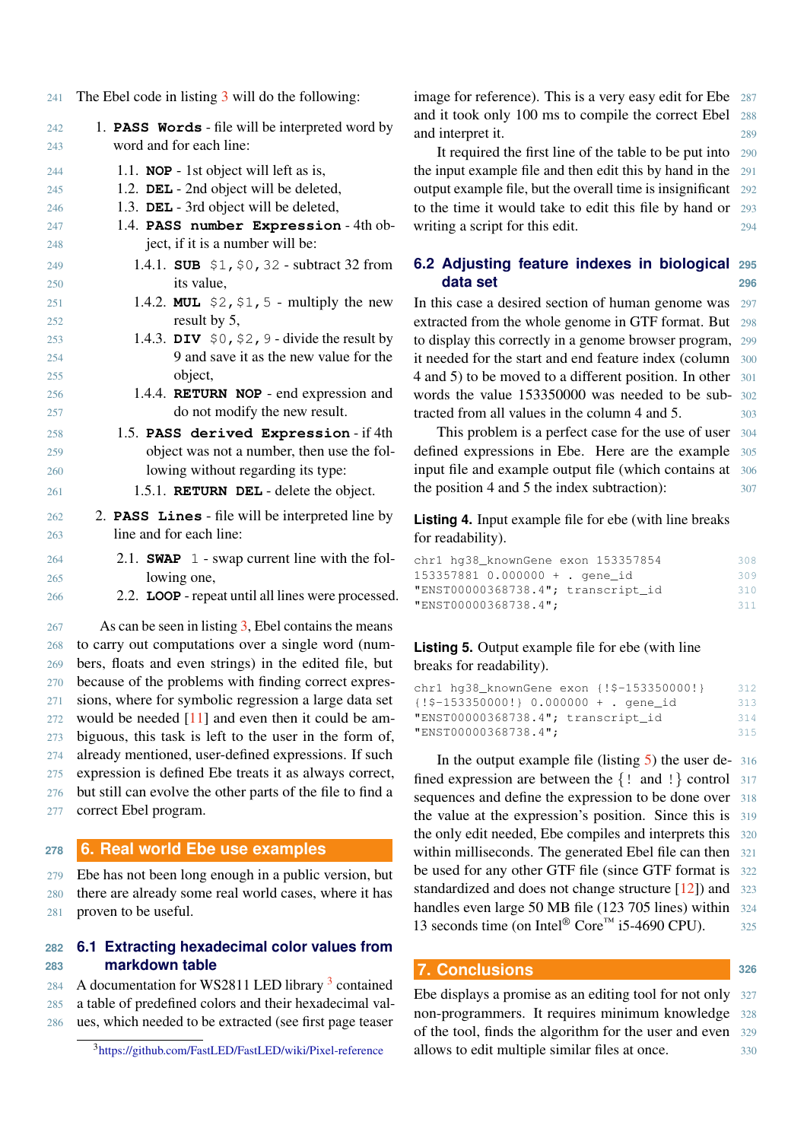241 The Ebel code in listing [3](#page-3-1) will do the following:

| 242 | 1. PASS Words - file will be interpreted word by                    |
|-----|---------------------------------------------------------------------|
| 243 | word and for each line:                                             |
| 244 | 1.1. NOP - 1st object will left as is,                              |
| 245 | 1.2. DEL - 2nd object will be deleted,                              |
| 246 | 1.3. DEL - 3rd object will be deleted,                              |
| 247 | 1.4. PASS number Expression - 4th ob-                               |
| 248 | ject, if it is a number will be:                                    |
| 249 | 1.4.1. SUB $$1, $0, 32$ - subtract 32 from                          |
| 250 | its value.                                                          |
| 251 | 1.4.2. MUL $$2, $1, 5$ - multiply the new                           |
| 252 | result by 5,                                                        |
| 253 | 1.4.3. DIV $$0, $2, 9$ - divide the result by                       |
| 254 | 9 and save it as the new value for the                              |
| 255 | object,                                                             |
| 256 | 1.4.4. RETURN NOP - end expression and                              |
| 257 | do not modify the new result.                                       |
| 258 | 1.5. PASS derived Expression - if 4th                               |
| 259 | object was not a number, then use the fol-                          |
| 260 | lowing without regarding its type:                                  |
| 261 | 1.5.1. <b>RETURN DEL</b> - delete the object.                       |
| 262 | 2. PASS Lines - file will be interpreted line by                    |
| 263 | line and for each line:                                             |
| 264 | 2.1. <b>SWAP</b> $\perp$ - swap current line with the fol-          |
| 265 | lowing one,                                                         |
| 266 | 2.2. LOOP - repeat until all lines were processed.                  |
| 267 | $\Delta$ s can be seen in listing $\lambda$ Fhel contains the means |

As can be seen in listing  $3$ , Ebel contains the means to carry out computations over a single word (num- bers, floats and even strings) in the edited file, but because of the problems with finding correct expres- sions, where for symbolic regression a large data set would be needed [\[11\]](#page-5-10) and even then it could be am- biguous, this task is left to the user in the form of, already mentioned, user-defined expressions. If such expression is defined Ebe treats it as always correct, but still can evolve the other parts of the file to find a correct Ebel program.

#### **<sup>278</sup> 6. Real world Ebe use examples**

279 Ebe has not been long enough in a public version, but 280 there are already some real world cases, where it has 281 proven to be useful.

## **282 6.1 Extracting hexadecimal color values from 283 markdown table**

284 A documentation for WS2811 LED library  $3$  contained 285 a table of predefined colors and their hexadecimal val-286 ues, which needed to be extracted (see first page teaser

image for reference). This is a very easy edit for Ebe 287 and it took only 100 ms to compile the correct Ebel 288 and interpret it. 289

It required the first line of the table to be put into 290 the input example file and then edit this by hand in the 291 output example file, but the overall time is insignificant 292 to the time it would take to edit this file by hand or 293 writing a script for this edit.

## **6.2 Adjusting feature indexes in biological 295 data set 296**

In this case a desired section of human genome was 297 extracted from the whole genome in GTF format. But 298 to display this correctly in a genome browser program, 299 it needed for the start and end feature index (column 300 4 and 5) to be moved to a different position. In other 301 words the value 153350000 was needed to be sub- 302 tracted from all values in the column 4 and 5. 303

This problem is a perfect case for the use of user 304 defined expressions in Ebe. Here are the example 305 input file and example output file (which contains at 306 the position 4 and 5 the index subtraction): 307

**Listing 4.** Input example file for ebe (with line breaks for readability).

| chr1 hq38_knownGene exon 153357854 | 308 |
|------------------------------------|-----|
| 153357881 0.000000 + . gene id     | 309 |
| "ENST00000368738.4"; transcript_id | 310 |
| "ENST00000368738.4";               | 311 |

## <span id="page-4-1"></span>**Listing 5.** Output example file for ebe (with line breaks for readability).

| chr1 hq38_knownGene exon { !\$-153350000! }   | 312 |
|-----------------------------------------------|-----|
| $\{!\$ {!}\$-153350000!} 0.000000 + . gene_id | 313 |
| "ENST00000368738.4"; transcript_id            | 314 |
| "ENST00000368738.4";                          | 315 |

In the output example file (listing  $5$ ) the user de- 316 fined expression are between the  $\{! \text{ and } ! \}$  control 317 sequences and define the expression to be done over 318 the value at the expression's position. Since this is 319 the only edit needed, Ebe compiles and interprets this 320 within milliseconds. The generated Ebel file can then 321 be used for any other GTF file (since GTF format is 322 standardized and does not change structure [\[12\]](#page-5-11)) and 323 handles even large 50 MB file (123 705 lines) within 324 13 seconds time (on Intel® Core<sup>™</sup> i5-4690 CPU).  $325$ 

## **7. Conclusions <sup>326</sup>**

Ebe displays a promise as an editing tool for not only 327 non-programmers. It requires minimum knowledge 328 of the tool, finds the algorithm for the user and even 329 allows to edit multiple similar files at once. 330

<span id="page-4-0"></span><sup>3</sup><https://github.com/FastLED/FastLED/wiki/Pixel-reference>